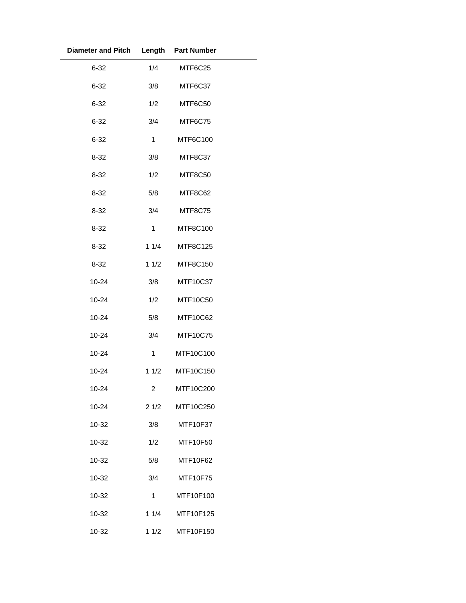| <b>Diameter and Pitch</b> |              | Length Part Number |  |
|---------------------------|--------------|--------------------|--|
| $6 - 32$                  | 1/4          | MTF6C25            |  |
| $6 - 32$                  | 3/8          | MTF6C37            |  |
| $6 - 32$                  | 1/2          | MTF6C50            |  |
| $6 - 32$                  | 3/4          | MTF6C75            |  |
| $6 - 32$                  | $\mathbf{1}$ | MTF6C100           |  |
| $8 - 32$                  | 3/8          | MTF8C37            |  |
| $8 - 32$                  | 1/2          | MTF8C50            |  |
| $8 - 32$                  | 5/8          | MTF8C62            |  |
| $8 - 32$                  | 3/4          | MTF8C75            |  |
| $8 - 32$                  | 1            | MTF8C100           |  |
| $8 - 32$                  | 11/4         | <b>MTF8C125</b>    |  |
| $8 - 32$                  | 11/2         | MTF8C150           |  |
| 10-24                     | 3/8          | MTF10C37           |  |
| 10-24                     | 1/2          | MTF10C50           |  |
| 10-24                     | 5/8          | MTF10C62           |  |
| $10 - 24$                 | 3/4          | MTF10C75           |  |
| 10-24                     | $\mathbf{1}$ | MTF10C100          |  |
| 10-24                     | 11/2         | MTF10C150          |  |
| 10-24                     | 2            | MTF10C200          |  |
| $10 - 24$                 | 21/2         | MTF10C250          |  |
| 10-32                     | 3/8          | MTF10F37           |  |
| 10-32                     | 1/2          | MTF10F50           |  |
| 10-32                     | 5/8          | MTF10F62           |  |
| 10-32                     | 3/4          | MTF10F75           |  |
| 10-32                     | 1            | MTF10F100          |  |
| 10-32                     | 11/4         | MTF10F125          |  |
| 10-32                     | 11/2         | MTF10F150          |  |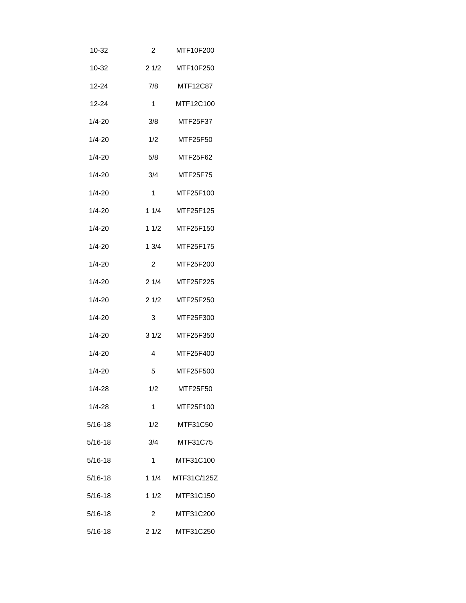| 10-32       | 2              | MTF10F200   |
|-------------|----------------|-------------|
| 10-32       | 21/2           | MTF10F250   |
| $12 - 24$   | 7/8            | MTF12C87    |
| 12-24       | 1              | MTF12C100   |
| $1/4 - 20$  | 3/8            | MTF25F37    |
| $1/4 - 20$  | 1/2            | MTF25F50    |
| $1/4 - 20$  | 5/8            | MTF25F62    |
| $1/4 - 20$  | 3/4            | MTF25F75    |
| 1/4-20      | 1              | MTF25F100   |
| 1/4-20      | 11/4           | MTF25F125   |
| $1/4 - 20$  | 1 1/2          | MTF25F150   |
| 1/4-20      | 13/4           | MTF25F175   |
| $1/4 - 20$  | 2              | MTF25F200   |
| 1/4-20      | 21/4           | MTF25F225   |
| 1/4-20      | 21/2           | MTF25F250   |
| 1/4-20      | 3              | MTF25F300   |
| $1/4 - 20$  | 31/2           | MTF25F350   |
| 1/4-20      | 4              | MTF25F400   |
| 1/4-20      | 5              | MTF25F500   |
| $1/4 - 28$  | 1/2            | MTF25F50    |
| $1/4 - 28$  | $\mathbf 1$    | MTF25F100   |
| $5/16 - 18$ | 1/2            | MTF31C50    |
| $5/16 - 18$ | 3/4            | MTF31C75    |
| $5/16 - 18$ | 1              | MTF31C100   |
| $5/16 - 18$ | 11/4           | MTF31C/125Z |
| $5/16 - 18$ | 11/2           | MTF31C150   |
| $5/16 - 18$ | $\overline{2}$ | MTF31C200   |
| $5/16 - 18$ | 21/2           | MTF31C250   |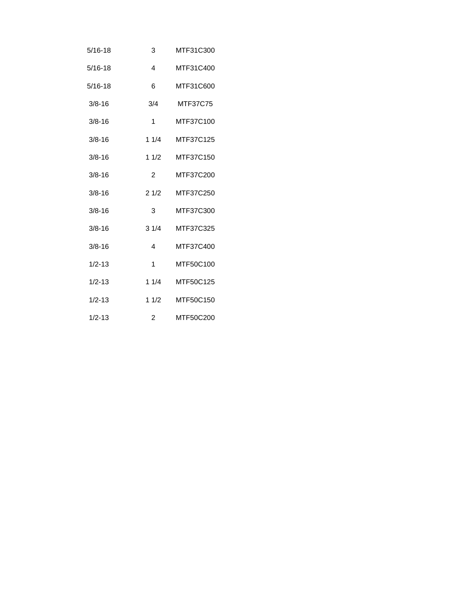| 5/16-18    | 3              | MTF31C300       |
|------------|----------------|-----------------|
| 5/16-18    | 4              | MTF31C400       |
| 5/16-18    | 6              | MTF31C600       |
| $3/8 - 16$ | 3/4            | <b>MTF37C75</b> |
| $3/8 - 16$ | 1              | MTF37C100       |
| $3/8 - 16$ | 11/4           | MTF37C125       |
| $3/8 - 16$ | 11/2           | MTF37C150       |
| $3/8 - 16$ | 2              | MTF37C200       |
| $3/8 - 16$ | 21/2           | MTF37C250       |
| $3/8 - 16$ | 3              | MTF37C300       |
| $3/8 - 16$ | 31/4           | MTF37C325       |
| $3/8 - 16$ | 4              | MTF37C400       |
| $1/2 - 13$ | 1              | MTF50C100       |
| $1/2 - 13$ | 11/4           | MTF50C125       |
| $1/2 - 13$ | 11/2           | MTF50C150       |
| $1/2 - 13$ | $\overline{2}$ | MTF50C200       |